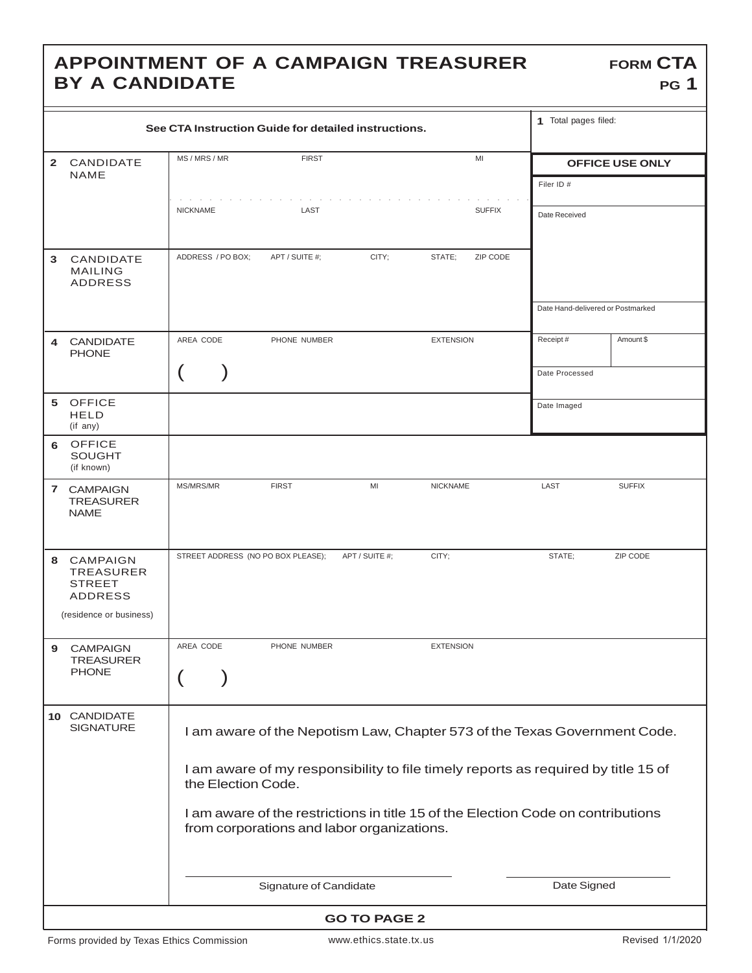## **APPOINTMENT OF A CAMPAIGN TREASURER BY A CANDIDATE**

| See CTA Instruction Guide for detailed instructions. |                                                                                            |                                                                                                                                                                                                                                                                                                                        |                                    |                         |               | 1 Total pages filed:              |                        |
|------------------------------------------------------|--------------------------------------------------------------------------------------------|------------------------------------------------------------------------------------------------------------------------------------------------------------------------------------------------------------------------------------------------------------------------------------------------------------------------|------------------------------------|-------------------------|---------------|-----------------------------------|------------------------|
| $\mathbf{2}$                                         | CANDIDATE<br>NAME                                                                          | MS / MRS / MR                                                                                                                                                                                                                                                                                                          | <b>FIRST</b>                       |                         | MI            |                                   | <b>OFFICE USE ONLY</b> |
|                                                      |                                                                                            | <b>NICKNAME</b>                                                                                                                                                                                                                                                                                                        | LAST                               |                         | <b>SUFFIX</b> | Filer ID #<br>Date Received       |                        |
| 3.                                                   | <b>CANDIDATE</b><br><b>MAILING</b><br><b>ADDRESS</b>                                       | ADDRESS / PO BOX;                                                                                                                                                                                                                                                                                                      | APT / SUITE #:                     | CITY;<br>STATE:         | ZIP CODE      | Date Hand-delivered or Postmarked |                        |
| 4                                                    | <b>CANDIDATE</b><br><b>PHONE</b>                                                           | AREA CODE                                                                                                                                                                                                                                                                                                              | PHONE NUMBER                       | <b>EXTENSION</b>        |               | Receipt#                          | Amount \$              |
|                                                      |                                                                                            |                                                                                                                                                                                                                                                                                                                        |                                    |                         |               | Date Processed                    |                        |
|                                                      | 5 OFFICE<br><b>HELD</b><br>(if any)                                                        |                                                                                                                                                                                                                                                                                                                        |                                    |                         |               | Date Imaged                       |                        |
| 6                                                    | <b>OFFICE</b><br><b>SOUGHT</b><br>(if known)                                               |                                                                                                                                                                                                                                                                                                                        |                                    |                         |               |                                   |                        |
|                                                      | 7 CAMPAIGN<br><b>TREASURER</b><br><b>NAME</b>                                              | MS/MRS/MR                                                                                                                                                                                                                                                                                                              | <b>FIRST</b>                       | MI<br><b>NICKNAME</b>   |               | LAST                              | <b>SUFFIX</b>          |
| 8                                                    | CAMPAIGN<br><b>TREASURER</b><br><b>STREET</b><br><b>ADDRESS</b><br>(residence or business) |                                                                                                                                                                                                                                                                                                                        | STREET ADDRESS (NO PO BOX PLEASE); | APT / SUITE #;<br>CITY; |               | STATE;                            | ZIP CODE               |
| 9                                                    | <b>CAMPAIGN</b><br><b>TREASURER</b><br><b>PHONE</b>                                        | AREA CODE                                                                                                                                                                                                                                                                                                              | PHONE NUMBER                       | <b>EXTENSION</b>        |               |                                   |                        |
|                                                      | 10 CANDIDATE<br><b>SIGNATURE</b>                                                           | I am aware of the Nepotism Law, Chapter 573 of the Texas Government Code.<br>I am aware of my responsibility to file timely reports as required by title 15 of<br>the Election Code.<br>I am aware of the restrictions in title 15 of the Election Code on contributions<br>from corporations and labor organizations. |                                    |                         |               |                                   |                        |
|                                                      |                                                                                            | Signature of Candidate                                                                                                                                                                                                                                                                                                 |                                    |                         | Date Signed   |                                   |                        |
| <b>GO TO PAGE 2</b>                                  |                                                                                            |                                                                                                                                                                                                                                                                                                                        |                                    |                         |               |                                   |                        |

**FORM CTA**

**PG 1**